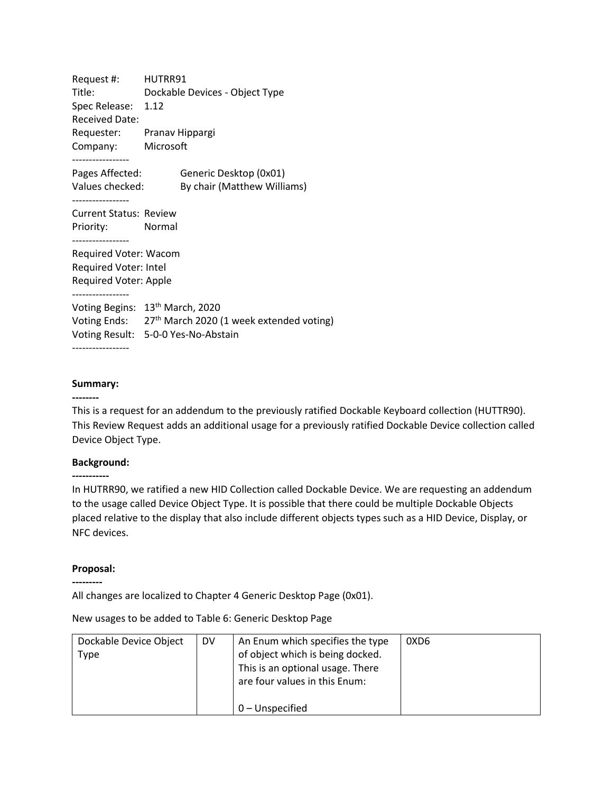Request #: HUTRR91 Title: Dockable Devices - Object Type Spec Release: 1.12 Received Date: Requester: Pranav Hippargi Company: Microsoft ----------------- Pages Affected: Generic Desktop (0x01) Values checked: By chair (Matthew Williams) ----------------- Current Status: Review Priority: Normal ----------------- Required Voter: Wacom Required Voter: Intel Required Voter: Apple ----------------- Voting Begins: 13<sup>th</sup> March, 2020 Voting Ends: 27<sup>th</sup> March 2020 (1 week extended voting) Voting Result: 5-0-0 Yes-No-Abstain -----------------

## **Summary:**

#### **--------**

This is a request for an addendum to the previously ratified Dockable Keyboard collection (HUTTR90). This Review Request adds an additional usage for a previously ratified Dockable Device collection called Device Object Type.

## **Background:**

**-----------**

In HUTRR90, we ratified a new HID Collection called Dockable Device. We are requesting an addendum to the usage called Device Object Type. It is possible that there could be multiple Dockable Objects placed relative to the display that also include different objects types such as a HID Device, Display, or NFC devices.

## **Proposal:**

**---------**

All changes are localized to Chapter 4 Generic Desktop Page (0x01).

New usages to be added to Table 6: Generic Desktop Page

| Dockable Device Object<br>Type | <b>DV</b> | An Enum which specifies the type<br>of object which is being docked. | 0XD6 |
|--------------------------------|-----------|----------------------------------------------------------------------|------|
|                                |           | This is an optional usage. There<br>are four values in this Enum:    |      |
|                                |           | $0$ – Unspecified                                                    |      |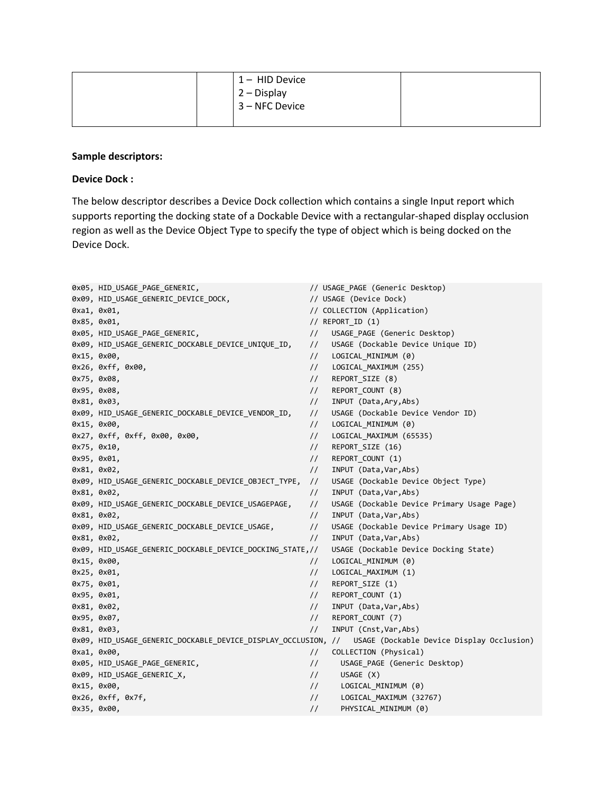|  | $1 - HID$ Device |  |
|--|------------------|--|
|  | $2 - Display$    |  |
|  | 3 – NFC Device   |  |
|  |                  |  |

## **Sample descriptors:**

# **Device Dock :**

The below descriptor describes a Device Dock collection which contains a single Input report which supports reporting the docking state of a Dockable Device with a rectangular-shaped display occlusion region as well as the Device Object Type to specify the type of object which is being docked on the Device Dock.

|             | 0x05, HID USAGE PAGE GENERIC,                            |                | // USAGE PAGE (Generic Desktop)                                                                         |
|-------------|----------------------------------------------------------|----------------|---------------------------------------------------------------------------------------------------------|
|             | 0x09, HID_USAGE_GENERIC_DEVICE_DOCK,                     |                | // USAGE (Device Dock)                                                                                  |
| 0xa1, 0x01, |                                                          |                | // COLLECTION (Application)                                                                             |
| 0x85, 0x01, |                                                          |                | // $REPORTID (1)$                                                                                       |
|             | 0x05, HID USAGE PAGE GENERIC,                            | $\frac{1}{2}$  | USAGE PAGE (Generic Desktop)                                                                            |
|             | 0x09, HID_USAGE_GENERIC_DOCKABLE_DEVICE_UNIQUE_ID,       | $\frac{1}{2}$  | USAGE (Dockable Device Unique ID)                                                                       |
| 0x15, 0x00, |                                                          | $\frac{1}{2}$  | LOGICAL_MINIMUM (0)                                                                                     |
|             | 0x26, 0xff, 0x00,                                        | $\frac{1}{2}$  | LOGICAL_MAXIMUM (255)                                                                                   |
| 0x75, 0x08, |                                                          | $\frac{1}{2}$  | REPORT SIZE (8)                                                                                         |
| 0x95, 0x08, |                                                          | $\frac{1}{2}$  | REPORT_COUNT (8)                                                                                        |
| 0x81, 0x03, |                                                          | $\frac{1}{2}$  | INPUT (Data, Ary, Abs)                                                                                  |
|             | 0x09, HID_USAGE_GENERIC_DOCKABLE_DEVICE_VENDOR_ID,       | $\frac{1}{2}$  | USAGE (Dockable Device Vendor ID)                                                                       |
| 0x15, 0x00, |                                                          | $\frac{1}{2}$  | LOGICAL MINIMUM (0)                                                                                     |
|             | 0x27, 0xff, 0xff, 0x00, 0x00,                            | $\frac{1}{2}$  | LOGICAL MAXIMUM (65535)                                                                                 |
| 0x75, 0x10, |                                                          | $\frac{1}{2}$  | REPORT SIZE (16)                                                                                        |
| 0x95, 0x01, |                                                          | $\frac{1}{2}$  | REPORT_COUNT (1)                                                                                        |
| 0x81, 0x02, |                                                          | $\frac{1}{2}$  | INPUT (Data, Var, Abs)                                                                                  |
|             | 0x09, HID_USAGE_GENERIC_DOCKABLE_DEVICE_OBJECT_TYPE,     | $\frac{1}{2}$  | USAGE (Dockable Device Object Type)                                                                     |
| 0x81, 0x02, |                                                          | $\frac{1}{2}$  | INPUT (Data, Var, Abs)                                                                                  |
|             | 0x09, HID_USAGE_GENERIC_DOCKABLE_DEVICE_USAGEPAGE,       | $\frac{1}{2}$  | USAGE (Dockable Device Primary Usage Page)                                                              |
| 0x81, 0x02, |                                                          | $\frac{1}{2}$  | INPUT (Data, Var, Abs)                                                                                  |
|             | 0x09, HID USAGE GENERIC DOCKABLE DEVICE USAGE,           | $\frac{1}{2}$  | USAGE (Dockable Device Primary Usage ID)                                                                |
| 0x81, 0x02, |                                                          | $\frac{1}{2}$  | INPUT (Data, Var, Abs)                                                                                  |
|             | 0x09, HID USAGE GENERIC DOCKABLE DEVICE DOCKING STATE,// |                | USAGE (Dockable Device Docking State)                                                                   |
| 0x15, 0x00, |                                                          | $\frac{1}{2}$  | LOGICAL MINIMUM (0)                                                                                     |
| 0x25, 0x01, |                                                          | $\frac{1}{2}$  | LOGICAL MAXIMUM (1)                                                                                     |
| 0x75, 0x01, |                                                          | $\frac{1}{2}$  | REPORT_SIZE (1)                                                                                         |
| 0x95, 0x01, |                                                          | $\frac{1}{2}$  | REPORT_COUNT (1)                                                                                        |
| 0x81, 0x02, |                                                          | $\frac{1}{2}$  | INPUT (Data, Var, Abs)                                                                                  |
| 0x95, 0x07, |                                                          | $\frac{1}{2}$  | REPORT_COUNT (7)                                                                                        |
| 0x81, 0x03, |                                                          | $\frac{1}{2}$  | INPUT (Cnst, Var, Abs)                                                                                  |
|             |                                                          |                | 0x09, HID_USAGE_GENERIC_DOCKABLE_DEVICE_DISPLAY_OCCLUSION, // USAGE (Dockable Device Display Occlusion) |
| 0xa1, 0x00, |                                                          | $\frac{1}{2}$  | COLLECTION (Physical)                                                                                   |
|             | 0x05, HID USAGE PAGE GENERIC,                            | $\frac{1}{2}$  | USAGE_PAGE (Generic Desktop)                                                                            |
|             | 0x09, HID_USAGE_GENERIC_X,                               | $\frac{1}{2}$  | USAGE (X)                                                                                               |
| 0x15, 0x00, |                                                          | $\frac{1}{2}$  | LOGICAL MINIMUM (0)                                                                                     |
|             | $0x26$ , $0xff$ , $0x7f$ ,                               | $\frac{1}{2}$  | LOGICAL MAXIMUM (32767)                                                                                 |
| 0x35, 0x00, |                                                          | $\prime\prime$ | PHYSICAL MINIMUM (0)                                                                                    |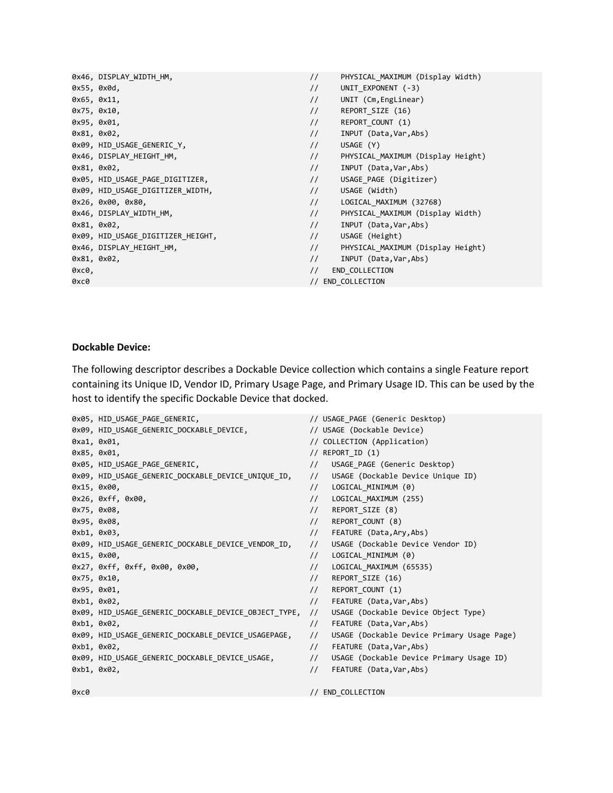|             | 0x46, DISPLAY WIDTH HM,           | $\frac{1}{2}$ | PHYSICAL MAXIMUM (Display Width)  |
|-------------|-----------------------------------|---------------|-----------------------------------|
|             | 0x55, 0x0d,                       | $\frac{1}{2}$ | UNIT EXPONENT (-3)                |
| 0x65, 0x11, |                                   | $\frac{1}{2}$ | UNIT (Cm, EngLinear)              |
| 0x75, 0x10, |                                   | $\frac{1}{2}$ | REPORT_SIZE (16)                  |
| 0x95, 0x01, |                                   | $\frac{1}{2}$ | REPORT COUNT (1)                  |
|             | 0x81, 0x02,                       | $\frac{1}{2}$ | INPUT (Data, Var, Abs)            |
|             | 0x09, HID_USAGE_GENERIC_Y,        | $\frac{1}{2}$ | USAGE (Y)                         |
|             | 0x46, DISPLAY_HEIGHT_HM,          | $\frac{1}{2}$ | PHYSICAL_MAXIMUM (Display Height) |
|             | 0x81, 0x02,                       | $\frac{1}{2}$ | INPUT (Data, Var, Abs)            |
|             | 0x05, HID_USAGE_PAGE_DIGITIZER,   | $\frac{1}{2}$ | USAGE PAGE (Digitizer)            |
|             | 0x09, HID USAGE DIGITIZER WIDTH,  | $\frac{1}{2}$ | USAGE (Width)                     |
|             | 0x26, 0x00, 0x80,                 | $\frac{1}{2}$ | LOGICAL MAXIMUM (32768)           |
|             | 0x46, DISPLAY_WIDTH_HM,           | $\frac{1}{2}$ | PHYSICAL MAXIMUM (Display Width)  |
|             | 0x81, 0x02,                       | $\frac{1}{2}$ | INPUT (Data, Var, Abs)            |
|             | 0x09, HID_USAGE_DIGITIZER_HEIGHT, | $\frac{1}{2}$ | USAGE (Height)                    |
|             | 0x46, DISPLAY HEIGHT HM,          | $\frac{1}{2}$ | PHYSICAL MAXIMUM (Display Height) |
|             | 0x81, 0x02,                       | $\frac{1}{2}$ | INPUT (Data, Var, Abs)            |
| 0хс0,       |                                   | $\frac{1}{2}$ | END_COLLECTION                    |
| 0хс0        |                                   |               | // END COLLECTION                 |

# **Dockable Device:**

The following descriptor describes a Dockable Device collection which contains a single Feature report containing its Unique ID, Vendor ID, Primary Usage Page, and Primary Usage ID. This can be used by the host to identify the specific Dockable Device that docked.

|      | 0x05, HID USAGE PAGE GENERIC,                        |               | // USAGE_PAGE (Generic Desktop)            |
|------|------------------------------------------------------|---------------|--------------------------------------------|
|      | 0x09, HID_USAGE_GENERIC_DOCKABLE_DEVICE,             |               | // USAGE (Dockable Device)                 |
|      | 0xa1, 0x01,                                          |               | // COLLECTION (Application)                |
|      | 0x85, 0x01,                                          |               | // $REPORTID (1)$                          |
|      | 0x05, HID_USAGE_PAGE_GENERIC,                        | $\frac{1}{2}$ | USAGE_PAGE (Generic Desktop)               |
|      | 0x09, HID_USAGE_GENERIC_DOCKABLE_DEVICE_UNIQUE_ID,   | $\frac{1}{2}$ | USAGE (Dockable Device Unique ID)          |
|      | 0x15, 0x00,                                          | $\frac{1}{2}$ | LOGICAL MINIMUM (0)                        |
|      | 0x26, 0xff, 0x00,                                    | $\frac{1}{2}$ | LOGICAL MAXIMUM (255)                      |
|      | 0x75, 0x08,                                          | $\frac{1}{2}$ | REPORT_SIZE (8)                            |
|      | 0x95, 0x08,                                          | $\frac{1}{2}$ | REPORT_COUNT (8)                           |
|      | 0xb1, 0x03,                                          | $\frac{1}{2}$ | FEATURE (Data, Ary, Abs)                   |
|      | 0x09, HID USAGE GENERIC DOCKABLE DEVICE VENDOR ID,   | $\frac{1}{2}$ | USAGE (Dockable Device Vendor ID)          |
|      | 0x15, 0x00,                                          | $\frac{1}{2}$ | LOGICAL MINIMUM (0)                        |
|      | 0x27, 0xff, 0xff, 0x00, 0x00,                        | $\frac{1}{2}$ | LOGICAL MAXIMUM (65535)                    |
|      | 0x75, 0x10,                                          | $\frac{1}{2}$ | REPORT_SIZE (16)                           |
|      | 0x95, 0x01,                                          | $\frac{1}{2}$ | REPORT_COUNT (1)                           |
|      | 0xb1, 0x02,                                          | $\frac{1}{2}$ | FEATURE (Data, Var, Abs)                   |
|      | 0x09, HID_USAGE_GENERIC_DOCKABLE_DEVICE_OBJECT_TYPE, | $\frac{1}{2}$ | USAGE (Dockable Device Object Type)        |
|      | 0xb1, 0x02,                                          | $\frac{1}{2}$ | FEATURE (Data,Var,Abs)                     |
|      | 0x09, HID_USAGE_GENERIC_DOCKABLE_DEVICE_USAGEPAGE,   | $\frac{1}{2}$ | USAGE (Dockable Device Primary Usage Page) |
|      | 0xb1, 0x02,                                          | $\frac{1}{2}$ | FEATURE (Data, Var, Abs)                   |
|      | 0x09, HID_USAGE_GENERIC_DOCKABLE_DEVICE_USAGE,       | $\frac{1}{2}$ | USAGE (Dockable Device Primary Usage ID)   |
|      | 0xb1, 0x02,                                          | $\frac{1}{2}$ | FEATURE (Data, Var, Abs)                   |
| 0xc0 |                                                      |               | // END COLLECTION                          |